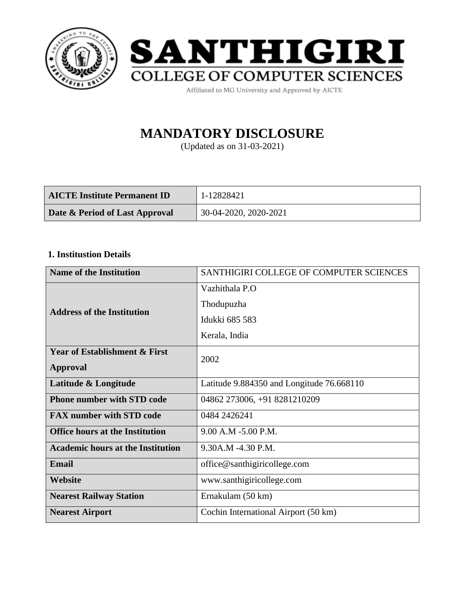



Affiliated to MG University and Approved by AICTE

# **MANDATORY DISCLOSURE**

(Updated as on 31-03-2021)

| <b>AICTE Institute Permanent ID</b> | 1-12828421            |
|-------------------------------------|-----------------------|
| Date & Period of Last Approval      | 30-04-2020, 2020-2021 |

#### **1. Institustion Details**

| <b>Name of the Institution</b>                  | SANTHIGIRI COLLEGE OF COMPUTER SCIENCES   |  |
|-------------------------------------------------|-------------------------------------------|--|
|                                                 | Vazhithala P.O                            |  |
| <b>Address of the Institution</b>               | Thodupuzha                                |  |
|                                                 | Idukki 685 583                            |  |
|                                                 | Kerala, India                             |  |
| <b>Year of Establishment &amp; First</b>        | 2002                                      |  |
| <b>Approval</b>                                 |                                           |  |
| Latitude & Longitude                            | Latitude 9.884350 and Longitude 76.668110 |  |
| <b>Phone number with STD code</b>               | 04862 273006, +91 8281210209              |  |
| <b>FAX number with STD code</b><br>0484 2426241 |                                           |  |
| <b>Office hours at the Institution</b>          | 9.00 A.M -5.00 P.M.                       |  |
| <b>Academic hours at the Institution</b>        | 9.30A.M -4.30 P.M.                        |  |
| <b>Email</b>                                    | office@santhigiricollege.com              |  |
| Website                                         | www.santhigiricollege.com                 |  |
| <b>Nearest Railway Station</b>                  | Ernakulam (50 km)                         |  |
| <b>Nearest Airport</b>                          | Cochin International Airport (50 km)      |  |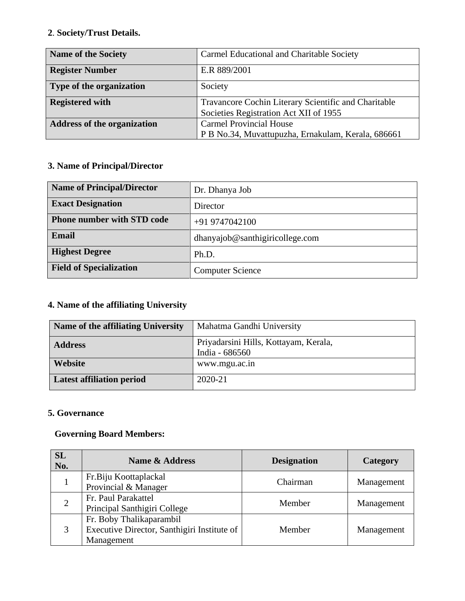### **2**. **Society/Trust Details.**

| <b>Name of the Society</b>         | Carmel Educational and Charitable Society            |  |
|------------------------------------|------------------------------------------------------|--|
| <b>Register Number</b>             | E.R 889/2001                                         |  |
| Type of the organization           | Society                                              |  |
| <b>Registered with</b>             | Travancore Cochin Literary Scientific and Charitable |  |
|                                    | Societies Registration Act XII of 1955               |  |
| <b>Address of the organization</b> | <b>Carmel Provincial House</b>                       |  |
|                                    | P B No.34, Muvattupuzha, Ernakulam, Kerala, 686661   |  |

# **3. Name of Principal/Director**

| <b>Name of Principal/Director</b> | Dr. Dhanya Job                  |
|-----------------------------------|---------------------------------|
| <b>Exact Designation</b>          | Director                        |
| <b>Phone number with STD code</b> | $+919747042100$                 |
| Email                             | dhanyajob@santhigiricollege.com |
| <b>Highest Degree</b>             | Ph.D.                           |
| <b>Field of Specialization</b>    | <b>Computer Science</b>         |

# **4. Name of the affiliating University**

| Name of the affiliating University | Mahatma Gandhi University                               |  |
|------------------------------------|---------------------------------------------------------|--|
| <b>Address</b>                     | Priyadarsini Hills, Kottayam, Kerala,<br>India - 686560 |  |
| Website                            | www.mgu.ac.in                                           |  |
| <b>Latest affiliation period</b>   | 2020-21                                                 |  |

#### **5. Governance**

#### **Governing Board Members:**

| <b>SL</b><br>No. | Name & Address                                                                        | <b>Designation</b> | <b>Category</b> |
|------------------|---------------------------------------------------------------------------------------|--------------------|-----------------|
|                  | Fr.Biju Koottaplackal<br>Provincial & Manager                                         | Chairman           | Management      |
| 2                | Fr. Paul Parakattel<br>Principal Santhigiri College                                   | Member             | Management      |
| 3                | Fr. Boby Thalikaparambil<br>Executive Director, Santhigiri Institute of<br>Management | Member             | Management      |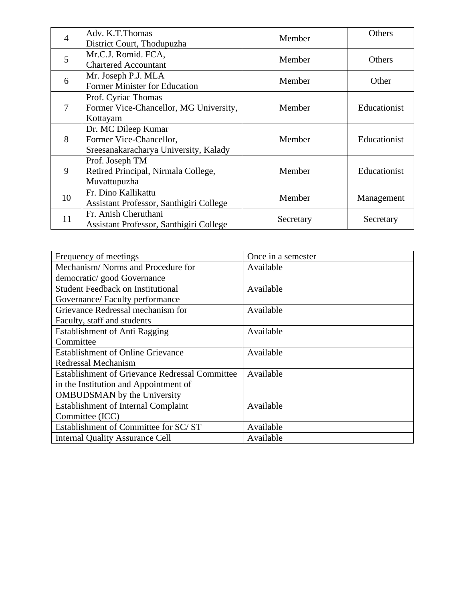| $\overline{4}$ | Adv. K.T.Thomas                         | Member    | Others       |
|----------------|-----------------------------------------|-----------|--------------|
|                | District Court, Thodupuzha              |           |              |
| 5              | Mr.C.J. Romid. FCA,                     | Member    | Others       |
|                | <b>Chartered Accountant</b>             |           |              |
| 6              | Mr. Joseph P.J. MLA                     | Member    | Other        |
|                | Former Minister for Education           |           |              |
|                | Prof. Cyriac Thomas                     |           |              |
| 7              | Former Vice-Chancellor, MG University,  | Member    | Educationist |
|                | Kottayam                                |           |              |
|                | Dr. MC Dileep Kumar                     |           |              |
| 8              | Former Vice-Chancellor,                 | Member    | Educationist |
|                | Sreesanakaracharya University, Kalady   |           |              |
|                | Prof. Joseph TM                         |           |              |
| 9              | Retired Principal, Nirmala College,     | Member    | Educationist |
|                | Muvattupuzha                            |           |              |
| 10             | Fr. Dino Kallikattu                     | Member    |              |
|                | Assistant Professor, Santhigiri College |           | Management   |
|                | Fr. Anish Cheruthani                    |           |              |
| 11             | Assistant Professor, Santhigiri College | Secretary | Secretary    |

| Frequency of meetings                                 | Once in a semester |
|-------------------------------------------------------|--------------------|
| Mechanism/Norms and Procedure for                     | Available          |
| democratic/good Governance                            |                    |
| <b>Student Feedback on Institutional</b>              | Available          |
| Governance/Faculty performance                        |                    |
| Grievance Redressal mechanism for                     | Available          |
| Faculty, staff and students                           |                    |
| <b>Establishment of Anti Ragging</b>                  | Available          |
| Committee                                             |                    |
| <b>Establishment of Online Grievance</b>              | Available          |
| Redressal Mechanism                                   |                    |
| <b>Establishment of Grievance Redressal Committee</b> | Available          |
| in the Institution and Appointment of                 |                    |
| <b>OMBUDSMAN</b> by the University                    |                    |
| <b>Establishment of Internal Complaint</b>            | Available          |
| Committee (ICC)                                       |                    |
| Establishment of Committee for SC/ST                  | Available          |
| <b>Internal Quality Assurance Cell</b>                | Available          |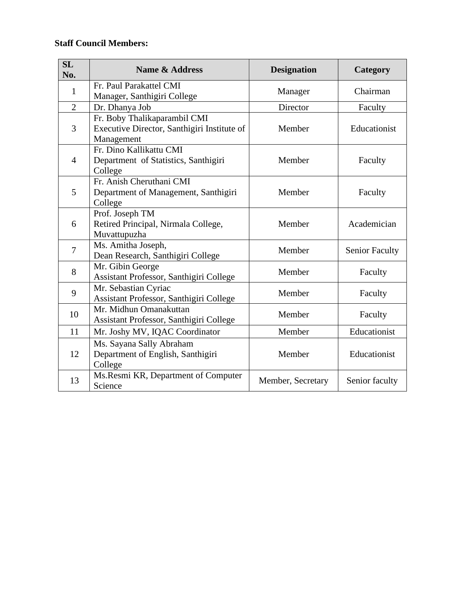### **Staff Council Members:**

| SL<br>No.      | <b>Name &amp; Address</b>                                                                 | <b>Designation</b> | Category              |
|----------------|-------------------------------------------------------------------------------------------|--------------------|-----------------------|
| 1              | Fr. Paul Parakattel CMI<br>Manager, Santhigiri College                                    | Manager            | Chairman              |
| $\overline{2}$ | Dr. Dhanya Job                                                                            | Director           | Faculty               |
| 3              | Fr. Boby Thalikaparambil CMI<br>Executive Director, Santhigiri Institute of<br>Management | Member             | Educationist          |
| $\overline{4}$ | Fr. Dino Kallikattu CMI<br>Department of Statistics, Santhigiri<br>College                | Member             | Faculty               |
| 5              | Fr. Anish Cheruthani CMI<br>Department of Management, Santhigiri<br>College               | Member             | Faculty               |
| 6              | Prof. Joseph TM<br>Retired Principal, Nirmala College,<br>Muvattupuzha                    | Member             | Academician           |
| $\overline{7}$ | Ms. Amitha Joseph,<br>Dean Research, Santhigiri College                                   | Member             | <b>Senior Faculty</b> |
| 8              | Mr. Gibin George<br>Assistant Professor, Santhigiri College                               | Member             | Faculty               |
| 9              | Mr. Sebastian Cyriac<br>Assistant Professor, Santhigiri College                           | Member             | Faculty               |
| 10             | Mr. Midhun Omanakuttan<br>Assistant Professor, Santhigiri College                         | Member             | Faculty               |
| 11             | Mr. Joshy MV, IQAC Coordinator                                                            | Member             | Educationist          |
| 12             | Ms. Sayana Sally Abraham<br>Department of English, Santhigiri<br>College                  | Member             | Educationist          |
| 13             | Ms.Resmi KR, Department of Computer<br>Science                                            | Member, Secretary  | Senior faculty        |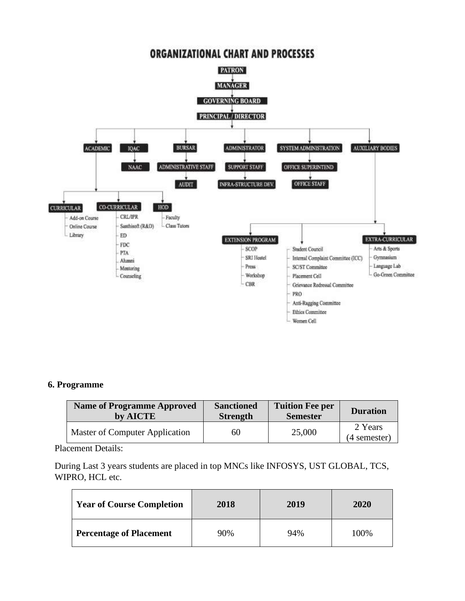

#### **6. Programme**

| <b>Name of Programme Approved</b> | <b>Sanctioned</b> | <b>Tuition Fee per</b> | <b>Duration</b>         |
|-----------------------------------|-------------------|------------------------|-------------------------|
| by AICTE                          | <b>Strength</b>   | <b>Semester</b>        |                         |
| Master of Computer Application    | 60                | 25,000                 | 2 Years<br>(4 semester) |

Placement Details:

During Last 3 years students are placed in top MNCs like INFOSYS, UST GLOBAL, TCS, WIPRO, HCL etc.

| <b>Year of Course Completion</b> | 2018 | 2019 | 2020 |
|----------------------------------|------|------|------|
| <b>Percentage of Placement</b>   | 90%  | 94%  | 100% |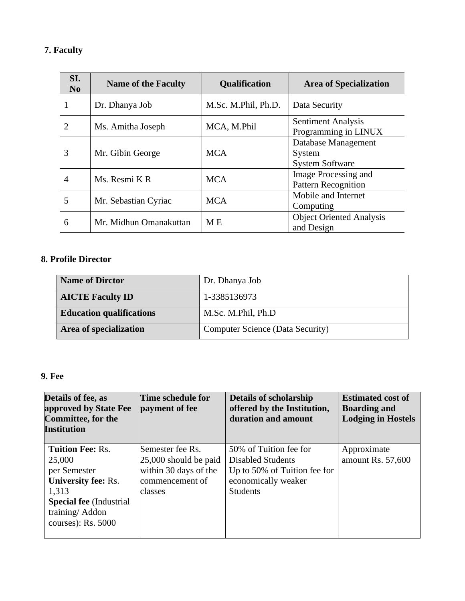### **7. Faculty**

| SI.<br>N <sub>0</sub> | <b>Name of the Faculty</b> | <b>Qualification</b> | <b>Area of Specialization</b>                           |
|-----------------------|----------------------------|----------------------|---------------------------------------------------------|
|                       | Dr. Dhanya Job             | M.Sc. M.Phil, Ph.D.  | Data Security                                           |
| 2                     | Ms. Amitha Joseph          | MCA, M.Phil          | <b>Sentiment Analysis</b><br>Programming in LINUX       |
| 3                     | Mr. Gibin George           | <b>MCA</b>           | Database Management<br>System<br><b>System Software</b> |
| 4                     | Ms. Resmi KR               | <b>MCA</b>           | Image Processing and<br><b>Pattern Recognition</b>      |
| 5                     | Mr. Sebastian Cyriac       | <b>MCA</b>           | Mobile and Internet<br>Computing                        |
| 6                     | Mr. Midhun Omanakuttan     | M E                  | <b>Object Oriented Analysis</b><br>and Design           |

### **8. Profile Director**

| <b>Name of Dirctor</b>          | Dr. Dhanya Job                          |
|---------------------------------|-----------------------------------------|
| <b>AICTE Faculty ID</b>         | 1-3385136973                            |
| <b>Education qualifications</b> | M.Sc. M.Phil, Ph.D                      |
| Area of specialization          | <b>Computer Science (Data Security)</b> |

#### **9. Fee**

| Details of fee, as<br>approved by State Fee<br><b>Committee, for the</b><br>Institution                                                                            | Time schedule for<br>payment of fee                                                                | <b>Details of scholarship</b><br>offered by the Institution,<br>duration and amount                                          | <b>Estimated cost of</b><br><b>Boarding and</b><br><b>Lodging in Hostels</b> |
|--------------------------------------------------------------------------------------------------------------------------------------------------------------------|----------------------------------------------------------------------------------------------------|------------------------------------------------------------------------------------------------------------------------------|------------------------------------------------------------------------------|
| <b>Tuition Fee: Rs.</b><br>25,000<br>per Semester<br><b>University fee: Rs.</b><br>1,313<br><b>Special fee</b> (Industrial<br>training/Addon<br>courses): Rs. 5000 | Semester fee Rs.<br>$25,000$ should be paid<br>within 30 days of the<br>commencement of<br>classes | 50% of Tuition fee for<br><b>Disabled Students</b><br>Up to 50% of Tuition fee for<br>economically weaker<br><b>Students</b> | Approximate<br>amount Rs. 57,600                                             |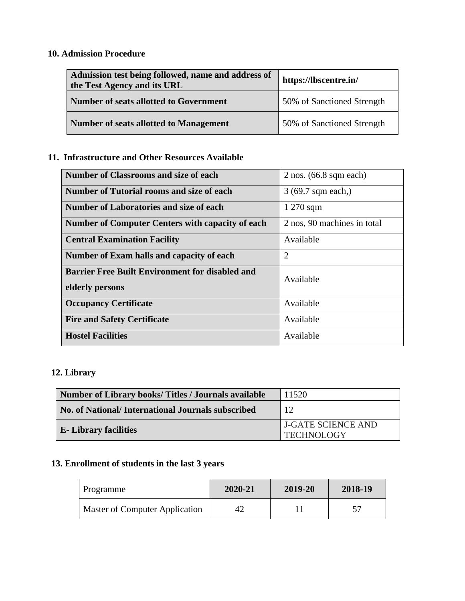# **10. Admission Procedure**

| Admission test being followed, name and address of<br>the Test Agency and its URL | https://lbscentre.in/      |  |
|-----------------------------------------------------------------------------------|----------------------------|--|
| Number of seats allotted to Government                                            | 50% of Sanctioned Strength |  |
| Number of seats allotted to Management                                            | 50% of Sanctioned Strength |  |

## **11. Infrastructure and Other Resources Available**

| <b>Number of Classrooms and size of each</b>            | $2$ nos. (66.8 sqm each)    |
|---------------------------------------------------------|-----------------------------|
| Number of Tutorial rooms and size of each               | 3 (69.7 sqm each,)          |
| <b>Number of Laboratories and size of each</b>          | $1270$ sqm                  |
| <b>Number of Computer Centers with capacity of each</b> | 2 nos, 90 machines in total |
| <b>Central Examination Facility</b>                     | Available                   |
| Number of Exam halls and capacity of each               | $\overline{2}$              |
| <b>Barrier Free Built Environment for disabled and</b>  | Available                   |
| elderly persons                                         |                             |
| <b>Occupancy Certificate</b>                            | Available                   |
| <b>Fire and Safety Certificate</b>                      | Available                   |
| <b>Hostel Facilities</b>                                | Available                   |

### **12. Library**

| Number of Library books/Titles / Journals available | 11520                                          |
|-----------------------------------------------------|------------------------------------------------|
| No. of National/International Journals subscribed   | 12                                             |
| <b>E</b> -Library facilities                        | <b>J-GATE SCIENCE AND</b><br><b>TECHNOLOGY</b> |

# **13. Enrollment of students in the last 3 years**

| Programme                      | 2020-21 | 2019-20 | 2018-19 |
|--------------------------------|---------|---------|---------|
| Master of Computer Application | 42      |         |         |